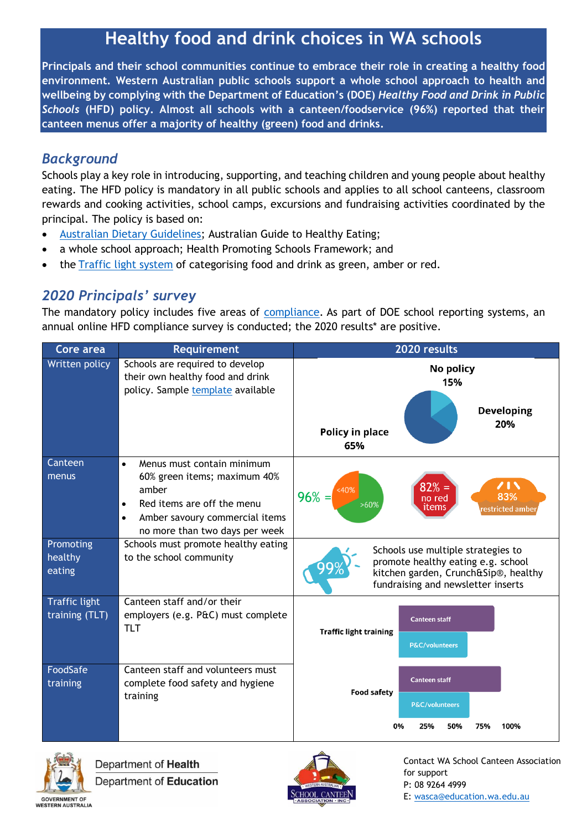# **Healthy food and drink choices in WA schools**

**Principals and their school communities continue to embrace their role in creating a healthy food environment. Western Australian public schools support a whole school approach to health and wellbeing by complying with the Department of Education's (DOE)** *Healthy Food and Drink in Public Schools* **(HFD) policy. Almost all schools with a canteen/foodservice (96%) reported that their canteen menus offer a majority of healthy (green) food and drinks.** 

## *Background*

Schools play a key role in introducing, supporting, and teaching children and young people about healthy eating. The HFD policy is mandatory in all public schools and applies to all school canteens, classroom rewards and cooking activities, school camps, excursions and fundraising activities coordinated by the principal. The policy is based on:

- [Australian Dietary Guidelines;](http://www.eatforhealth.gov.au/guidelines) Australian Guide to Healthy Eating;
- a whole school approach; Health Promoting Schools Framework; and
- the [Traffic light system](https://www.waschoolcanteens.org.au/wp-content/uploads/2017/07/Whats-on-the-menu-1-July-2017.pdf) of categorising food and drink as green, amber or red.

# *2020 Principals' survey*

The mandatory policy includes five areas of [compliance.](https://www.waschoolcanteens.org.au/wp-content/uploads/2019/08/Compliance-info-and-TLT-2019.pdf) As part of DOE school reporting systems, an annual online HFD compliance survey is conducted; the 2020 results\* are positive.

| Core area                              | <b>Requirement</b>                                                                                                                                                                                           | 2020 results                                                                                                                                           |
|----------------------------------------|--------------------------------------------------------------------------------------------------------------------------------------------------------------------------------------------------------------|--------------------------------------------------------------------------------------------------------------------------------------------------------|
| Written policy                         | Schools are required to develop<br>their own healthy food and drink<br>policy. Sample template available                                                                                                     | No policy<br>15%<br><b>Developing</b><br>20%<br>Policy in place<br>65%                                                                                 |
| <b>Canteen</b><br>menus                | Menus must contain minimum<br>$\bullet$<br>60% green items; maximum 40%<br>amber<br>Red items are off the menu<br>$\bullet$<br>Amber savoury commercial items<br>$\bullet$<br>no more than two days per week | $\overline{\phantom{a}}$<br>$82% =$<br><40%<br>$96% =$<br>83%<br>no red<br>>60%<br>items<br>restricted amber                                           |
| Promoting<br>healthy<br>eating         | Schools must promote healthy eating<br>to the school community                                                                                                                                               | Schools use multiple strategies to<br>promote healthy eating e.g. school<br>kitchen garden, Crunch&Sip®, healthy<br>fundraising and newsletter inserts |
| <b>Traffic light</b><br>training (TLT) | Canteen staff and/or their<br>employers (e.g. P&C) must complete<br><b>TLT</b>                                                                                                                               | <b>Canteen staff</b><br><b>Traffic light training</b><br>P&C/volunteers                                                                                |
| FoodSafe<br>training                   | Canteen staff and volunteers must<br>complete food safety and hygiene<br>training                                                                                                                            | <b>Canteen staff</b><br><b>Food safety</b><br>P&C/volunteers<br>0%<br>25%<br>50%<br>75%<br>100%                                                        |



Department of Health Department of Education



Contact WA School Canteen Association for support P: 08 9264 4999 E: [wasca@education.wa.edu.au](mailto:wasca@education.wa.edu.au)